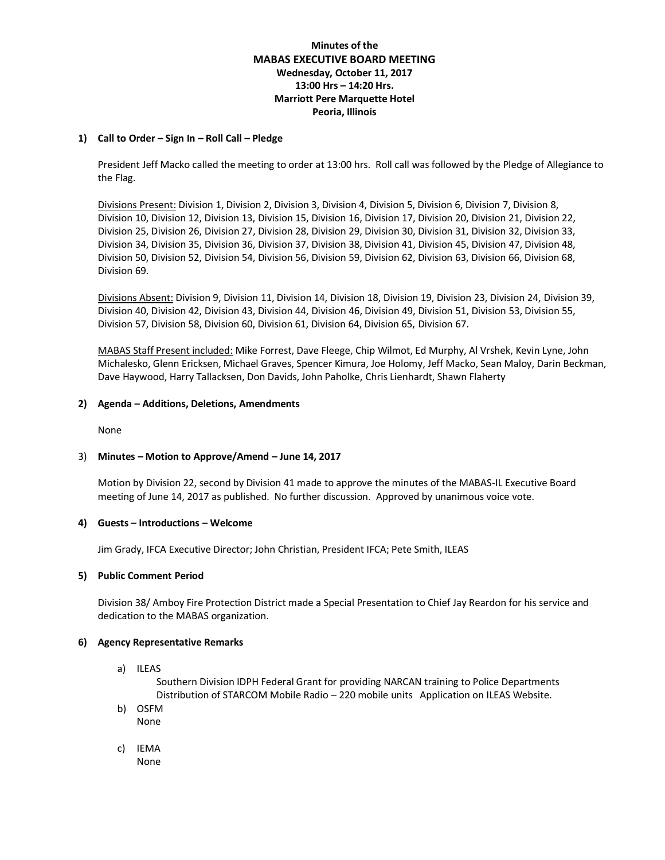# **Minutes of the MABAS EXECUTIVE BOARD MEETING Wednesday, October 11, 2017 13:00 Hrs – 14:20 Hrs. Marriott Pere Marquette Hotel Peoria, Illinois**

## **1) Call to Order – Sign In – Roll Call – Pledge**

President Jeff Macko called the meeting to order at 13:00 hrs. Roll call was followed by the Pledge of Allegiance to the Flag.

Divisions Present: Division 1, Division 2, Division 3, Division 4, Division 5, Division 6, Division 7, Division 8, Division 10, Division 12, Division 13, Division 15, Division 16, Division 17, Division 20, Division 21, Division 22, Division 25, Division 26, Division 27, Division 28, Division 29, Division 30, Division 31, Division 32, Division 33, Division 34, Division 35, Division 36, Division 37, Division 38, Division 41, Division 45, Division 47, Division 48, Division 50, Division 52, Division 54, Division 56, Division 59, Division 62, Division 63, Division 66, Division 68, Division 69.

Divisions Absent: Division 9, Division 11, Division 14, Division 18, Division 19, Division 23, Division 24, Division 39, Division 40, Division 42, Division 43, Division 44, Division 46, Division 49, Division 51, Division 53, Division 55, Division 57, Division 58, Division 60, Division 61, Division 64, Division 65, Division 67.

MABAS Staff Present included: Mike Forrest, Dave Fleege, Chip Wilmot, Ed Murphy, Al Vrshek, Kevin Lyne, John Michalesko, Glenn Ericksen, Michael Graves, Spencer Kimura, Joe Holomy, Jeff Macko, Sean Maloy, Darin Beckman, Dave Haywood, Harry Tallacksen, Don Davids, John Paholke, Chris Lienhardt, Shawn Flaherty

### **2) Agenda – Additions, Deletions, Amendments**

None

### 3) **Minutes – Motion to Approve/Amend – June 14, 2017**

Motion by Division 22, second by Division 41 made to approve the minutes of the MABAS-IL Executive Board meeting of June 14, 2017 as published. No further discussion. Approved by unanimous voice vote.

#### **4) Guests – Introductions – Welcome**

Jim Grady, IFCA Executive Director; John Christian, President IFCA; Pete Smith, ILEAS

#### **5) Public Comment Period**

Division 38/ Amboy Fire Protection District made a Special Presentation to Chief Jay Reardon for his service and dedication to the MABAS organization.

#### **6) Agency Representative Remarks**

a) ILEAS

Southern Division IDPH Federal Grant for providing NARCAN training to Police Departments Distribution of STARCOM Mobile Radio – 220 mobile units Application on ILEAS Website.

- b) OSFM None
- c) IEMA None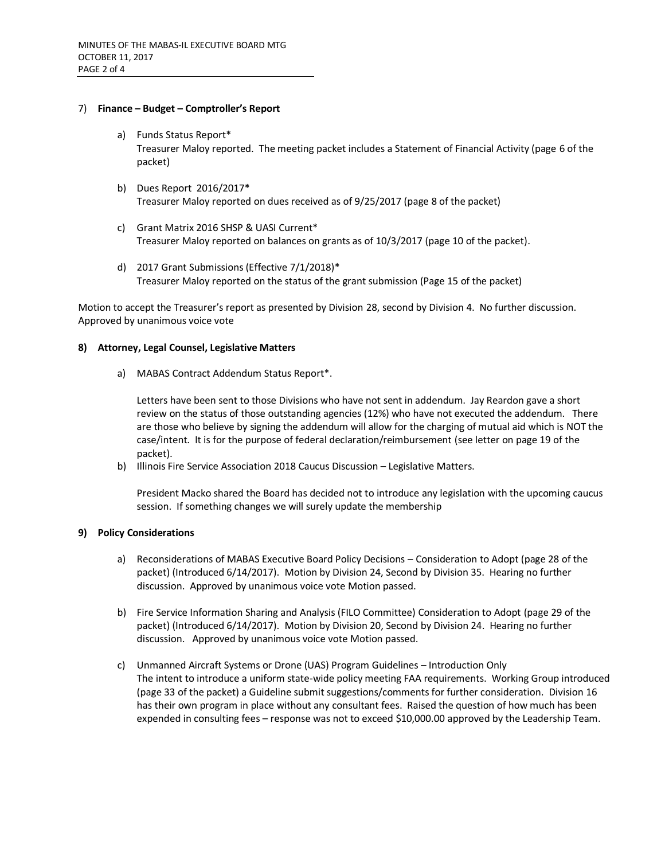### 7) **Finance – Budget – Comptroller's Report**

- a) Funds Status Report\* Treasurer Maloy reported. The meeting packet includes a Statement of Financial Activity (page 6 of the packet)
- b) Dues Report 2016/2017\* Treasurer Maloy reported on dues received as of 9/25/2017 (page 8 of the packet)
- c) Grant Matrix 2016 SHSP & UASI Current\* Treasurer Maloy reported on balances on grants as of 10/3/2017 (page 10 of the packet).
- d) 2017 Grant Submissions (Effective 7/1/2018)\* Treasurer Maloy reported on the status of the grant submission (Page 15 of the packet)

Motion to accept the Treasurer's report as presented by Division 28, second by Division 4. No further discussion. Approved by unanimous voice vote

#### **8) Attorney, Legal Counsel, Legislative Matters**

a) MABAS Contract Addendum Status Report\*.

Letters have been sent to those Divisions who have not sent in addendum. Jay Reardon gave a short review on the status of those outstanding agencies (12%) who have not executed the addendum. There are those who believe by signing the addendum will allow for the charging of mutual aid which is NOT the case/intent. It is for the purpose of federal declaration/reimbursement (see letter on page 19 of the packet).

b) Illinois Fire Service Association 2018 Caucus Discussion – Legislative Matters.

President Macko shared the Board has decided not to introduce any legislation with the upcoming caucus session. If something changes we will surely update the membership

### **9) Policy Considerations**

- a) Reconsiderations of MABAS Executive Board Policy Decisions Consideration to Adopt (page 28 of the packet) (Introduced 6/14/2017). Motion by Division 24, Second by Division 35. Hearing no further discussion. Approved by unanimous voice vote Motion passed.
- b) Fire Service Information Sharing and Analysis (FILO Committee) Consideration to Adopt (page 29 of the packet) (Introduced 6/14/2017). Motion by Division 20, Second by Division 24. Hearing no further discussion. Approved by unanimous voice vote Motion passed.
- c) Unmanned Aircraft Systems or Drone (UAS) Program Guidelines Introduction Only The intent to introduce a uniform state-wide policy meeting FAA requirements. Working Group introduced (page 33 of the packet) a Guideline submit suggestions/comments for further consideration. Division 16 has their own program in place without any consultant fees. Raised the question of how much has been expended in consulting fees – response was not to exceed \$10,000.00 approved by the Leadership Team.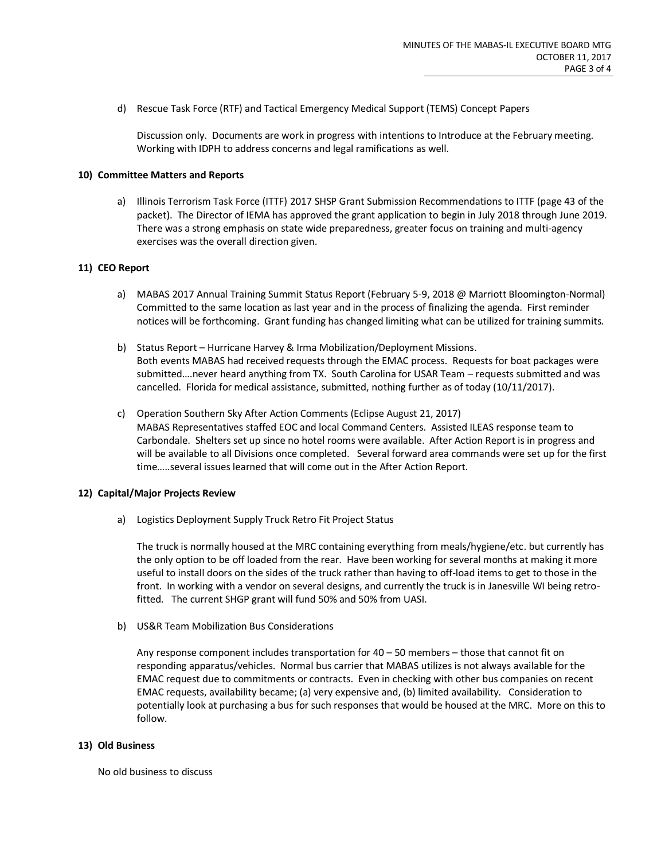d) Rescue Task Force (RTF) and Tactical Emergency Medical Support (TEMS) Concept Papers

Discussion only. Documents are work in progress with intentions to Introduce at the February meeting. Working with IDPH to address concerns and legal ramifications as well.

### **10) Committee Matters and Reports**

a) Illinois Terrorism Task Force (ITTF) 2017 SHSP Grant Submission Recommendations to ITTF (page 43 of the packet). The Director of IEMA has approved the grant application to begin in July 2018 through June 2019. There was a strong emphasis on state wide preparedness, greater focus on training and multi-agency exercises was the overall direction given.

## **11) CEO Report**

- a) MABAS 2017 Annual Training Summit Status Report (February 5-9, 2018 @ Marriott Bloomington-Normal) Committed to the same location as last year and in the process of finalizing the agenda. First reminder notices will be forthcoming. Grant funding has changed limiting what can be utilized for training summits.
- b) Status Report Hurricane Harvey & Irma Mobilization/Deployment Missions. Both events MABAS had received requests through the EMAC process. Requests for boat packages were submitted….never heard anything from TX. South Carolina for USAR Team – requests submitted and was cancelled. Florida for medical assistance, submitted, nothing further as of today (10/11/2017).
- c) Operation Southern Sky After Action Comments (Eclipse August 21, 2017) MABAS Representatives staffed EOC and local Command Centers. Assisted ILEAS response team to Carbondale. Shelters set up since no hotel rooms were available. After Action Report is in progress and will be available to all Divisions once completed. Several forward area commands were set up for the first time…..several issues learned that will come out in the After Action Report.

### **12) Capital/Major Projects Review**

a) Logistics Deployment Supply Truck Retro Fit Project Status

The truck is normally housed at the MRC containing everything from meals/hygiene/etc. but currently has the only option to be off loaded from the rear. Have been working for several months at making it more useful to install doors on the sides of the truck rather than having to off-load items to get to those in the front. In working with a vendor on several designs, and currently the truck is in Janesville WI being retrofitted. The current SHGP grant will fund 50% and 50% from UASI.

b) US&R Team Mobilization Bus Considerations

Any response component includes transportation for  $40 - 50$  members  $-$  those that cannot fit on responding apparatus/vehicles. Normal bus carrier that MABAS utilizes is not always available for the EMAC request due to commitments or contracts. Even in checking with other bus companies on recent EMAC requests, availability became; (a) very expensive and, (b) limited availability. Consideration to potentially look at purchasing a bus for such responses that would be housed at the MRC. More on this to follow.

#### **13) Old Business**

No old business to discuss